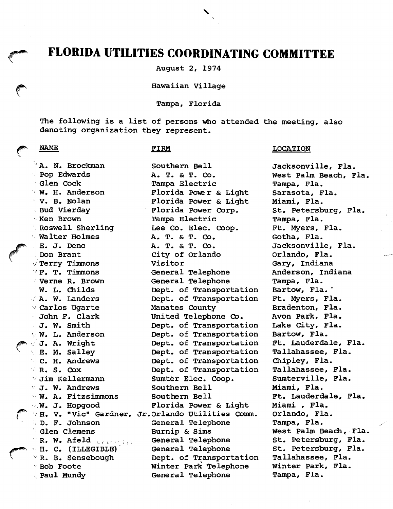# FLORIDA UTILITIES COORDINATING COMMITTEE

August 2, 1974

Hawaiian Village

Tampa, Florida

The following is a list of persons who attended the meeting, also denoting organization they represent.

Southern Bell

## NAME

 $\mathcal{L}$ 

### FIRM

 $\lor$  Carlos Ugarte <sup>5</sup> A. N. Brockman Pop Edwards Glen Cock W. H. Anderson V. B. Nolan Bud Vierday Ken Brown Roswell Sherling Walter Holmes E. J. Deno Don Brant  $\sqrt{\texttt{Term}}$  Timmons  $\vee$  F. T. Timmons Verne R. Brown W. L. Childs A. W. Landers John F. Clark J. W. Smith W. L. Anderson  $\sqrt{J}$ . A. Wright E. M. Salley C. H. Andrews R. S. Cox  $\vee$  Jim Kellermann  $\vee$  J. W. Andrews W. A. Fitzsimmons W. J. Hopgood D. F. Johnson **Glen Clemens** R. W. Afeld <sub>beforest</sub>  $\vee$  H. C. (ILLEGIBLE)  $\vee$  R. B. Sensebough Bob Foote Paul Mundy

H. V. "Vic" Gardner, Jr.Orlando Utilities Comm. A. T. & T. Co. Tampa Electric Florida Powe r & Light Florida Power & Light Florida Power Corp. Tampa Electric Lee Co. Elec. Coop. A. T. & T. Co, A. T. & T. CO. City of Orlando Visitor General Telephone General Telephone Dept. of Transportation Dept. of Transportation Manates County United Telephone Co, Dept. of Transportation Dept. of Transportation Dept. of Transportation Dept. of Transportation Dept. of Transportation Dept. of Transportation Sumter Elec. Coop. Southern Bell Southern Bell Florida Power & Light General Telephone Burnip & Sims General Telephone General Telephone Dept. of Transportation Winter Park Telephone General Telephone

LOCATION

Jacksonville, Fla. West Palm Beach, Fla. Tampa, Fla. Sarasota, Fla, Miami, Fla. St, Petersburg, Fla, Tampa, Fla. Ft. Myers, Fla, Gotha, Fla. Jacksonville, Fla. Orlando, Fla. Gary, Indiana Anderson, Indiana Tampa, Fla. Bartow, Fla. \* Ft. Myers, Fla. Bradenton, Fla. Avon Park, Fla. Lake City, Fla. Bartow, Fla. Ft. Lauderdale, Fla. Tallahassee, Fla. Chipley, Fla. Tallahassee, Fla. Sumterville, Fla. Miami, Fla. Ft, Lauderdale, Fla, Miami , Fla, Orlando, Fla. Tampa, Fla. West Palm Beach, Fla. St, Petersburg, Fla, St. Petersburg, Fla. Tallahassee, Fla. Winter Park, Fla. Tampa, Fla.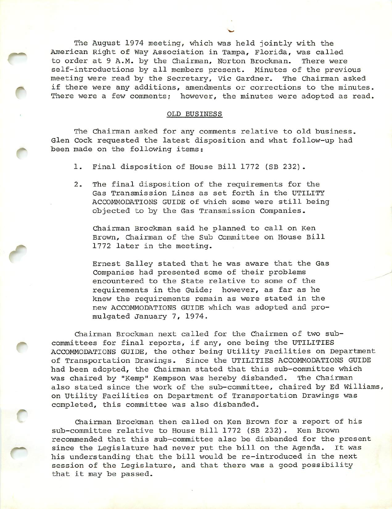The August 1974 meeting, which was held jointly with the American Right of Way Association in Tampa, Florida, was called to order at 9 A.M. by the Chairman, Norton Brockman. There were self-introductions by all members present. Minutes of the previous meeting were read by the Secretary, Vic Gardner. The Chairman asked if there were any additions, amendments or corrections to the minutes. There were a few comments; however, the minutes were adopted as read.

#### OLD BUSINESS

The Chairman asked for any comments relative to old business. Glen Cock requested the latest disposition and what follow-up had been made on the following items:

1. Final disposition of House Bill 1772 (SB 232).

e

2. The final disposition of the requirements for the Gas Transmission Lines as set forth in the UTILITY ACCOMMODATIONS GUIDE of which some were still being objected to by the Gas Transmission Companies.

Chairman Brockman said he planned to call on Ken Brown, Chairman of the Sub Committee on House Bill 1772 later in the meeting.

Ernest Salley stated that he was aware that the Gas Companies had presented some of their problems encountered to the State relative to some of the requirements in the Guide; however, as far as he knew the requirements remain as were stated in the new ACCOMMODATIONS GUIDE which was adopted and pro mulgated January 7, 1974.

Chairman Brockman next called for the Chairmen of two sub committees for final reports, if any, one being the UTILITIES ACCOMMODATIONS GUIDE, the other being Utility Facilities on Department of Transportation Drawings. Since the UTILITIES ACCOMMODATIONS GUIDE had been adopted, the Chairman stated that this sub-committee which was chaired by "Kemp" Kempson was hereby disbanded. The Chairman also stated since the work of the sub-committee, chaired by Ed Williams, on Utility Facilities on Department of Transportation Drawings was completed, this committee was also disbanded.

Chairman Brockman then called on Ken Brown for a report of his sub-committee relative to House Bill 1772 (SB 232). Ken Brown recommended that this sub-committee also be disbanded for the present since the Legislature had never put the bill on the Agenda. It was his understanding that the bill would be re-introduced in the next session of the Legislature, and that there was a good possibility that it may be passed.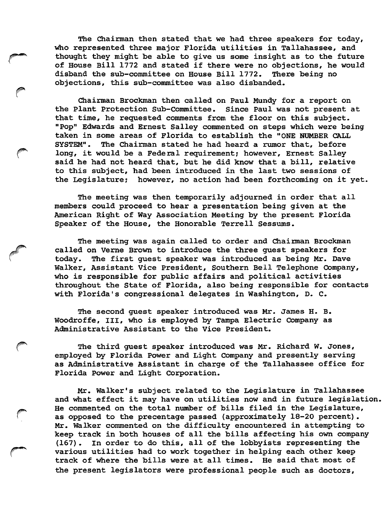The Chairman then stated that we had three speakers for today, who represented three major Florida utilities in Tallahassee, and thought they might be able to give us some insight as to the future of House Bill 1772 and stated if there were no objections, he would disband the sub-committee on House Bill 1772. There being no objections, this sub-committee was also disbanded.

Chairman Brockman then called on Paul Mundy for a report on the Plant Protection Sub-Committee. Since Paul was not present at that time, he requested comments from the floor on this subject. "Pop" Edwards and Ernest Salley commented on steps which were being taken in some areas of Florida to establish the "ONE NUMBER CALL SYSTEM". The Chairman stated he had heard a rumor that, before long, it would be a Federal requirement; however, Ernest Salley said he had not heard that, but he did know that a bill, relative to this subject, had been introduced in the last two sessions of the Legislature; however, no action had been forthcoming on it yet.

The meeting was then temporarily adjourned in order that all members could proceed to hear a presentation being given at the American Right of Way Association Meeting by the present Florida Speaker of the House, the Honorable Terrell Sessums.

The meeting was again called to order and Chairman Brockman called on Verne Brown to introduce the three guest speakers for today. The first guest speaker was introduced as being Mr. Dave Walker, Assistant Vice President, Southern Bell Telephone Company, who is responsible for public affairs and political activities throughout the State of Florida, also being responsible for contacts with Florida's congressional delegates in Washington, D. C.

The second guest speaker introduced was Mr. James H. B. Woodroffe, III, who is employed by Tampa Electric Company as Administrative Assistant to the Vice President.

The third guest speaker introduced was Mr. Richard W. Jones, employed by Florida Power and Light Company and presently serving as Administrative Assistant in charge of the Tallahassee office for Florida Power and Light Corporation.

Mr. Walker's subject related to the Legislature in Tallahassee and what effect it may have on utilities now and in future legislation.<br>He commented on the total number of bills filed in the Legislature, as opposed to the precentage passed (approximately 18-20 percent). Mr. Walker commented on the difficulty encountered in attempting to keep track in both houses of all the bills affecting his own company (167) . In order to do this, all of the lobbyists representing the various utilities had to work together in helping each other keep track of where the bills were at all times. He said that most of the present legislators were professional people such as doctors.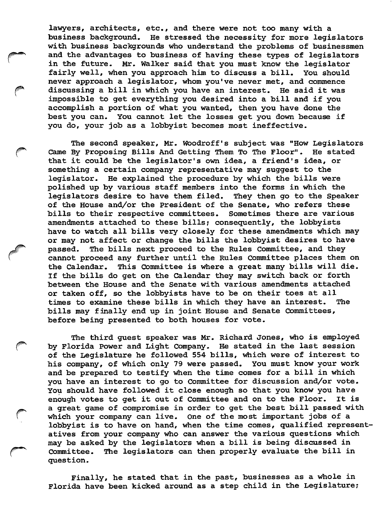lawyers, architects, etc., and there were not too many with a business background. He stressed the necessity for more legislators with business backgrounds who understand the problems of businessmen and the advantages to business of having these types of legislators in the future. Mr. Walker said that you must know the legislator fairly well, when you approach him to discuss a bill. You should never approach a legislator, whom you've never met, and commence discussing a bill in which you have an interest. He said it was impossible to get everything you desired into a bill and if you accomplish a portion of what you wanted, then you have done the best you can. You cannot let the losses get you down because if you do, your job as a lobbyist becomes most ineffective.

The second speaker, Mr. Woodroff's subject was "How Legislators Came By Proposing Bills And Getting Them To The Floor". He stated that it could be the legislator's own idea, a friend's idea, or something a certain company representative may suggest to the legislator. He explained the procedure by which the bills were polished up by various staff members into the forms in which the legislators desire to have them filed. They then go to the Speaker of the House and/or the President of the Senate, who refers these bills to their respective committees. Sometimes there are various amendments attached to these bills; consequently, the lobbyists have to watch all bills very closely for these amendments which may or may not affect or change the bills the lobbyist desires to have passed. The bills next proceed to the Rules Committee, and they cannot proceed any further until the Rules Committee places them on the Calendar. This Committee is where a great many bills will die. If the bills do get on the Calendar they may switch back or forth between the House and the Senate with various amendments attached or taken off, so the lobbyists have to be on their toes at all times to examine these bills in which they have an interest. The bills may finally end up in joint House and Senate Committees, before being presented to both houses for vote.

The third guest speaker was Mr. Richard Jones, who is employed by Florida Power and Light Company. He stated in the last session of the Legislature he followed 554 bills, which were of interest to his company, of which only 79 were passed. You must know your work and be prepared to testify when the time comes for a bill in which you have an interest to go to Committee for discussion and/or vote. You should have followed it close enough so that you know you have enough votes to get it out of Committee and on to the Floor. It is a great game of compromise in order to get the best bill passed with which your company can live. One of the most important jobs of a lobbyist is to have on hand, when the time comes, qualified represent atives from your company who can answer the various questions which may be asked by the legislators when a bill is being discussed in Committee. The legislators can then properly evaluate the bill in question.

Finally, he stated that in the past, businesses as a whole in Florida have been kicked around as a step child in the Legislature;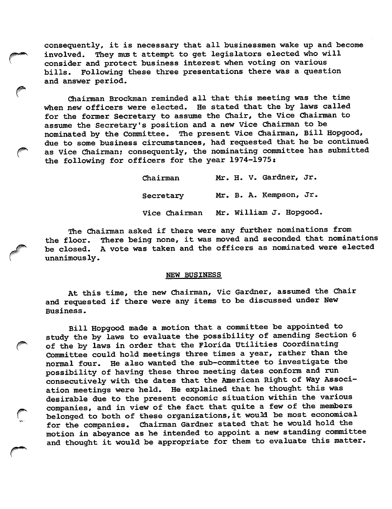consequently, it is necessary that all businessmen wake up and become involved. They must attempt to get legislators elected who will consider and protect business interest when voting on various bills. Following these three presentations there was a question and answer period.

Chairman Brockman reminded all that this meeting was the time when new officers were elected. He stated that the by laws called for the former Secretary to assume the Chair, the Vice Chairman to assume the Secretary's position and a new Vice Chairman to be nominated by the Committee. The present Vice Chairman, Bill Hopgood, due to some business circumstances, had requested that he be continued as Vice Chairman; consequently, the nominating committee has submitted the following for officers for the year 1974-1975:

> Chairman Mr. H. V. Gardner, Jr. Secretary Mr. B. A. Kempson, Jr. Vice Chairman Mr. William J. Hopgood.

The Chairman asked if there were any further nominations from the floor. There being none, it was moved and seconded that nominations be closed. A vote was taken and the officers as nominated were elected unanimously.

#### NEW BUSINESS

At this time, the new Chairman, Vic Gardner, assumed the Chair and requested if there were any items to be discussed under New Business.

Bill Hopgood made a motion that a committee be appointed to study the by laws to evaluate the possibility of amending Section 6 of the by laws in order that the Florida Utilities Coordinating Committee could hold meetings three times a year, rather than the normal four. He also wanted the sub-committee to investigate the possibility of having these three meeting dates conform and run consecutively with the dates that the American Right of Way Associ ation meetings were held. He explained that he thought this was desirable due to the present economic situation within the various companies, and in view of the fact that quite a few of the members belonged to both of these organizations, it would be most economical for the companies. Chairman Gardner stated that he would hold the motion in abeyance as he intended to appoint a new standing committee and thought it would be appropriate for them to evaluate this matter.